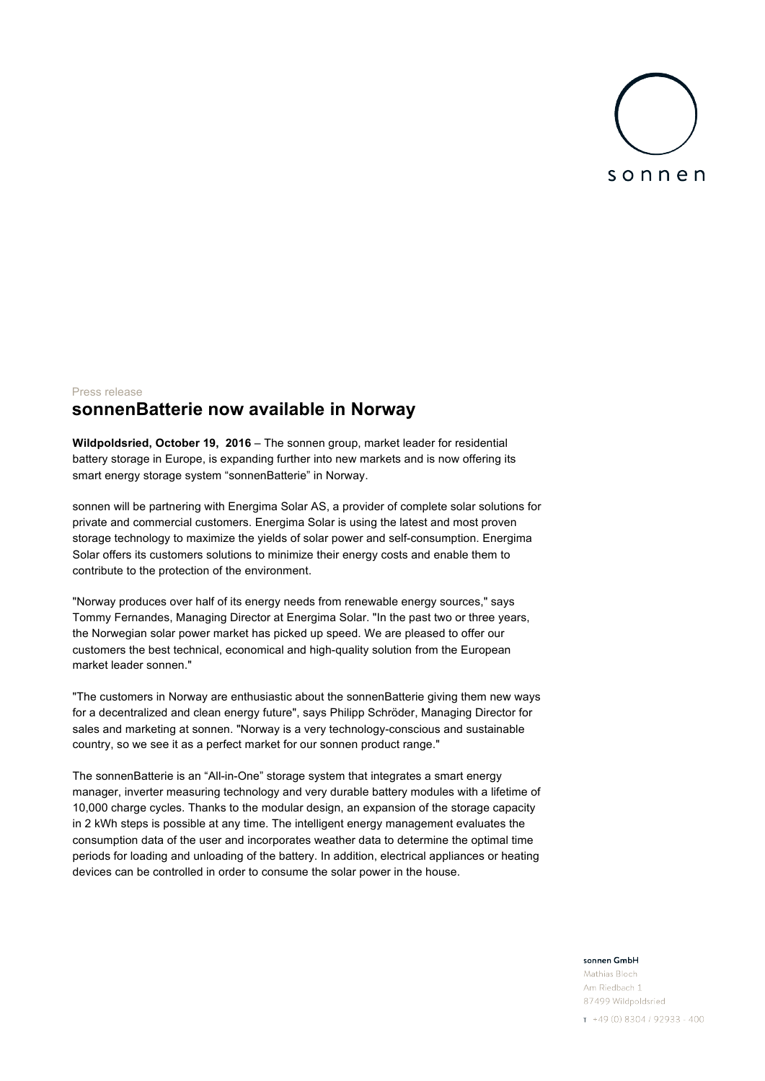

## Press release **sonnenBatterie now available in Norway**

**Wildpoldsried, October 19, 2016** – The sonnen group, market leader for residential battery storage in Europe, is expanding further into new markets and is now offering its smart energy storage system "sonnenBatterie" in Norway.

sonnen will be partnering with Energima Solar AS, a provider of complete solar solutions for private and commercial customers. Energima Solar is using the latest and most proven storage technology to maximize the yields of solar power and self-consumption. Energima Solar offers its customers solutions to minimize their energy costs and enable them to contribute to the protection of the environment.

"Norway produces over half of its energy needs from renewable energy sources," says Tommy Fernandes, Managing Director at Energima Solar. "In the past two or three years, the Norwegian solar power market has picked up speed. We are pleased to offer our customers the best technical, economical and high-quality solution from the European market leader sonnen."

"The customers in Norway are enthusiastic about the sonnenBatterie giving them new ways for a decentralized and clean energy future", says Philipp Schröder, Managing Director for sales and marketing at sonnen. "Norway is a very technology-conscious and sustainable country, so we see it as a perfect market for our sonnen product range."

The sonnenBatterie is an "All-in-One" storage system that integrates a smart energy manager, inverter measuring technology and very durable battery modules with a lifetime of 10,000 charge cycles. Thanks to the modular design, an expansion of the storage capacity in 2 kWh steps is possible at any time. The intelligent energy management evaluates the consumption data of the user and incorporates weather data to determine the optimal time periods for loading and unloading of the battery. In addition, electrical appliances or heating devices can be controlled in order to consume the solar power in the house.

## sonnen GmbH

Mathias Bloch Am Riedbach 1 87499 Wildpoldsried

 $T + 49(0)8304/92933 - 400$